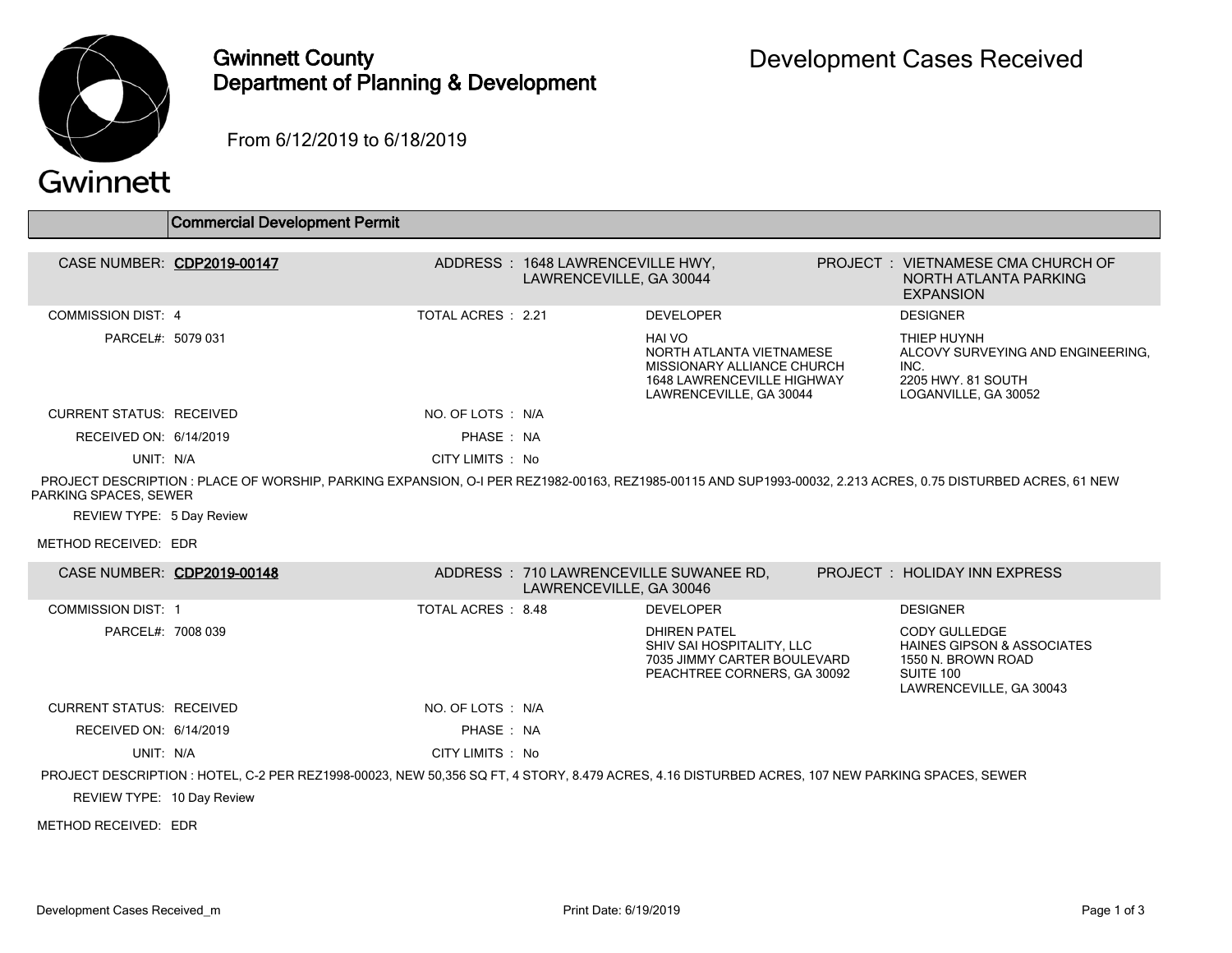

## Gwinnett County Department of Planning & Development

From 6/12/2019 to 6/18/2019

|                                 | <b>Commercial Development Permit</b>                                                                                                                         |                          |                                                             |                                                                                                                                         |                                                                                                                      |
|---------------------------------|--------------------------------------------------------------------------------------------------------------------------------------------------------------|--------------------------|-------------------------------------------------------------|-----------------------------------------------------------------------------------------------------------------------------------------|----------------------------------------------------------------------------------------------------------------------|
|                                 |                                                                                                                                                              |                          |                                                             |                                                                                                                                         |                                                                                                                      |
| CASE NUMBER: CDP2019-00147      |                                                                                                                                                              |                          | ADDRESS: 1648 LAWRENCEVILLE HWY,<br>LAWRENCEVILLE, GA 30044 |                                                                                                                                         | PROJECT : VIETNAMESE CMA CHURCH OF<br>NORTH ATLANTA PARKING<br><b>EXPANSION</b>                                      |
| <b>COMMISSION DIST: 4</b>       |                                                                                                                                                              | TOTAL ACRES : 2.21       |                                                             | <b>DEVELOPER</b>                                                                                                                        | <b>DESIGNER</b>                                                                                                      |
| PARCEL#: 5079 031               |                                                                                                                                                              |                          |                                                             | <b>HAI VO</b><br>NORTH ATLANTA VIETNAMESE<br>MISSIONARY ALLIANCE CHURCH<br><b>1648 LAWRENCEVILLE HIGHWAY</b><br>LAWRENCEVILLE, GA 30044 | THIEP HUYNH<br>ALCOVY SURVEYING AND ENGINEERING.<br>INC.<br>2205 HWY, 81 SOUTH<br>LOGANVILLE, GA 30052               |
| <b>CURRENT STATUS: RECEIVED</b> |                                                                                                                                                              | NO. OF LOTS : N/A        |                                                             |                                                                                                                                         |                                                                                                                      |
| RECEIVED ON: 6/14/2019          |                                                                                                                                                              | PHASE: NA                |                                                             |                                                                                                                                         |                                                                                                                      |
| UNIT: N/A                       |                                                                                                                                                              | CITY LIMITS : No         |                                                             |                                                                                                                                         |                                                                                                                      |
| PARKING SPACES, SEWER           | PROJECT DESCRIPTION : PLACE OF WORSHIP, PARKING EXPANSION, O-I PER REZ1982-00163, REZ1985-00115 AND SUP1993-00032, 2.213 ACRES, 0.75 DISTURBED ACRES, 61 NEW |                          |                                                             |                                                                                                                                         |                                                                                                                      |
| REVIEW TYPE: 5 Day Review       |                                                                                                                                                              |                          |                                                             |                                                                                                                                         |                                                                                                                      |
| METHOD RECEIVED: EDR            |                                                                                                                                                              |                          |                                                             |                                                                                                                                         |                                                                                                                      |
| CASE NUMBER: CDP2019-00148      |                                                                                                                                                              |                          | LAWRENCEVILLE, GA 30046                                     | ADDRESS: 710 LAWRENCEVILLE SUWANEE RD,                                                                                                  | PROJECT: HOLIDAY INN EXPRESS                                                                                         |
| <b>COMMISSION DIST: 1</b>       |                                                                                                                                                              | <b>TOTAL ACRES: 8.48</b> |                                                             | <b>DEVELOPER</b>                                                                                                                        | <b>DESIGNER</b>                                                                                                      |
| PARCEL#: 7008 039               |                                                                                                                                                              |                          |                                                             | <b>DHIREN PATEL</b><br>SHIV SAI HOSPITALITY, LLC<br>7035 JIMMY CARTER BOULEVARD<br>PEACHTREE CORNERS, GA 30092                          | CODY GULLEDGE<br><b>HAINES GIPSON &amp; ASSOCIATES</b><br>1550 N. BROWN ROAD<br>SUITE 100<br>LAWRENCEVILLE, GA 30043 |
| <b>CURRENT STATUS: RECEIVED</b> |                                                                                                                                                              | NO. OF LOTS: N/A         |                                                             |                                                                                                                                         |                                                                                                                      |
| RECEIVED ON: 6/14/2019          |                                                                                                                                                              | PHASE: NA                |                                                             |                                                                                                                                         |                                                                                                                      |
| UNIT: N/A                       |                                                                                                                                                              | CITY LIMITS : No         |                                                             |                                                                                                                                         |                                                                                                                      |
|                                 | PROJECT DESCRIPTION : HOTEL, C-2 PER REZ1998-00023, NEW 50,356 SQ FT, 4 STORY, 8.479 ACRES, 4.16 DISTURBED ACRES, 107 NEW PARKING SPACES, SEWER              |                          |                                                             |                                                                                                                                         |                                                                                                                      |
| REVIEW TYPE: 10 Day Review      |                                                                                                                                                              |                          |                                                             |                                                                                                                                         |                                                                                                                      |
| METHOD RECEIVED: EDR            |                                                                                                                                                              |                          |                                                             |                                                                                                                                         |                                                                                                                      |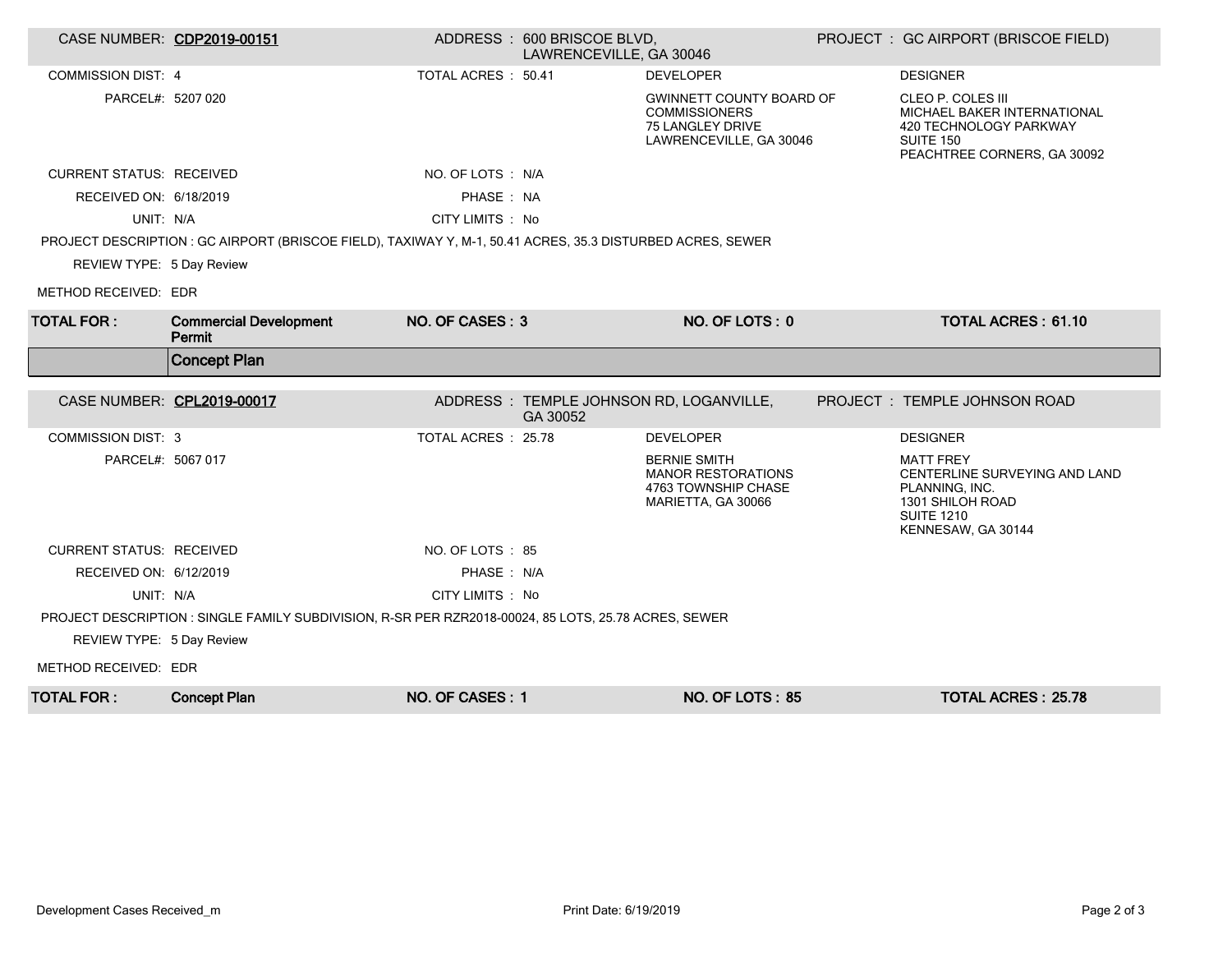|                                 | CASE NUMBER: CDP2019-00151                                                                                 |                    | ADDRESS: 600 BRISCOE BLVD,<br>LAWRENCEVILLE, GA 30046 |                                                                                                        | PROJECT : GC AIRPORT (BRISCOE FIELD)                                                                                               |
|---------------------------------|------------------------------------------------------------------------------------------------------------|--------------------|-------------------------------------------------------|--------------------------------------------------------------------------------------------------------|------------------------------------------------------------------------------------------------------------------------------------|
| <b>COMMISSION DIST: 4</b>       |                                                                                                            | TOTAL ACRES: 50.41 |                                                       | <b>DEVELOPER</b>                                                                                       | <b>DESIGNER</b>                                                                                                                    |
| PARCEL#: 5207 020               |                                                                                                            |                    |                                                       | <b>GWINNETT COUNTY BOARD OF</b><br><b>COMMISSIONERS</b><br>75 LANGLEY DRIVE<br>LAWRENCEVILLE, GA 30046 | CLEO P. COLES III<br>MICHAEL BAKER INTERNATIONAL<br>420 TECHNOLOGY PARKWAY<br>SUITE 150<br>PEACHTREE CORNERS, GA 30092             |
| <b>CURRENT STATUS: RECEIVED</b> |                                                                                                            | NO. OF LOTS: N/A   |                                                       |                                                                                                        |                                                                                                                                    |
| RECEIVED ON: 6/18/2019          |                                                                                                            | PHASE : NA         |                                                       |                                                                                                        |                                                                                                                                    |
| UNIT: N/A                       |                                                                                                            | CITY LIMITS: No    |                                                       |                                                                                                        |                                                                                                                                    |
|                                 | PROJECT DESCRIPTION : GC AIRPORT (BRISCOE FIELD), TAXIWAY Y, M-1, 50.41 ACRES, 35.3 DISTURBED ACRES, SEWER |                    |                                                       |                                                                                                        |                                                                                                                                    |
| REVIEW TYPE: 5 Day Review       |                                                                                                            |                    |                                                       |                                                                                                        |                                                                                                                                    |
| METHOD RECEIVED: EDR            |                                                                                                            |                    |                                                       |                                                                                                        |                                                                                                                                    |
| <b>TOTAL FOR:</b>               | <b>Commercial Development</b><br>Permit                                                                    | NO. OF CASES: 3    |                                                       | NO. OF LOTS: 0                                                                                         | <b>TOTAL ACRES: 61.10</b>                                                                                                          |
|                                 | <b>Concept Plan</b>                                                                                        |                    |                                                       |                                                                                                        |                                                                                                                                    |
|                                 |                                                                                                            |                    |                                                       |                                                                                                        |                                                                                                                                    |
| CASE NUMBER: CPL2019-00017      |                                                                                                            |                    | GA 30052                                              | ADDRESS : TEMPLE JOHNSON RD, LOGANVILLE,                                                               | PROJECT: TEMPLE JOHNSON ROAD                                                                                                       |
| <b>COMMISSION DIST: 3</b>       |                                                                                                            | TOTAL ACRES: 25.78 |                                                       | <b>DEVELOPER</b>                                                                                       | <b>DESIGNER</b>                                                                                                                    |
| PARCEL#: 5067 017               |                                                                                                            |                    |                                                       | <b>BERNIE SMITH</b><br><b>MANOR RESTORATIONS</b><br>4763 TOWNSHIP CHASE<br>MARIETTA, GA 30066          | <b>MATT FREY</b><br>CENTERLINE SURVEYING AND LAND<br>PLANNING, INC.<br>1301 SHILOH ROAD<br><b>SUITE 1210</b><br>KENNESAW, GA 30144 |
| <b>CURRENT STATUS: RECEIVED</b> |                                                                                                            | NO. OF LOTS : 85   |                                                       |                                                                                                        |                                                                                                                                    |
| RECEIVED ON: 6/12/2019          |                                                                                                            | PHASE: N/A         |                                                       |                                                                                                        |                                                                                                                                    |
| UNIT: N/A                       |                                                                                                            | CITY LIMITS : No   |                                                       |                                                                                                        |                                                                                                                                    |
|                                 | PROJECT DESCRIPTION : SINGLE FAMILY SUBDIVISION, R-SR PER RZR2018-00024, 85 LOTS, 25.78 ACRES, SEWER       |                    |                                                       |                                                                                                        |                                                                                                                                    |
| REVIEW TYPE: 5 Day Review       |                                                                                                            |                    |                                                       |                                                                                                        |                                                                                                                                    |
| METHOD RECEIVED: EDR            |                                                                                                            |                    |                                                       |                                                                                                        |                                                                                                                                    |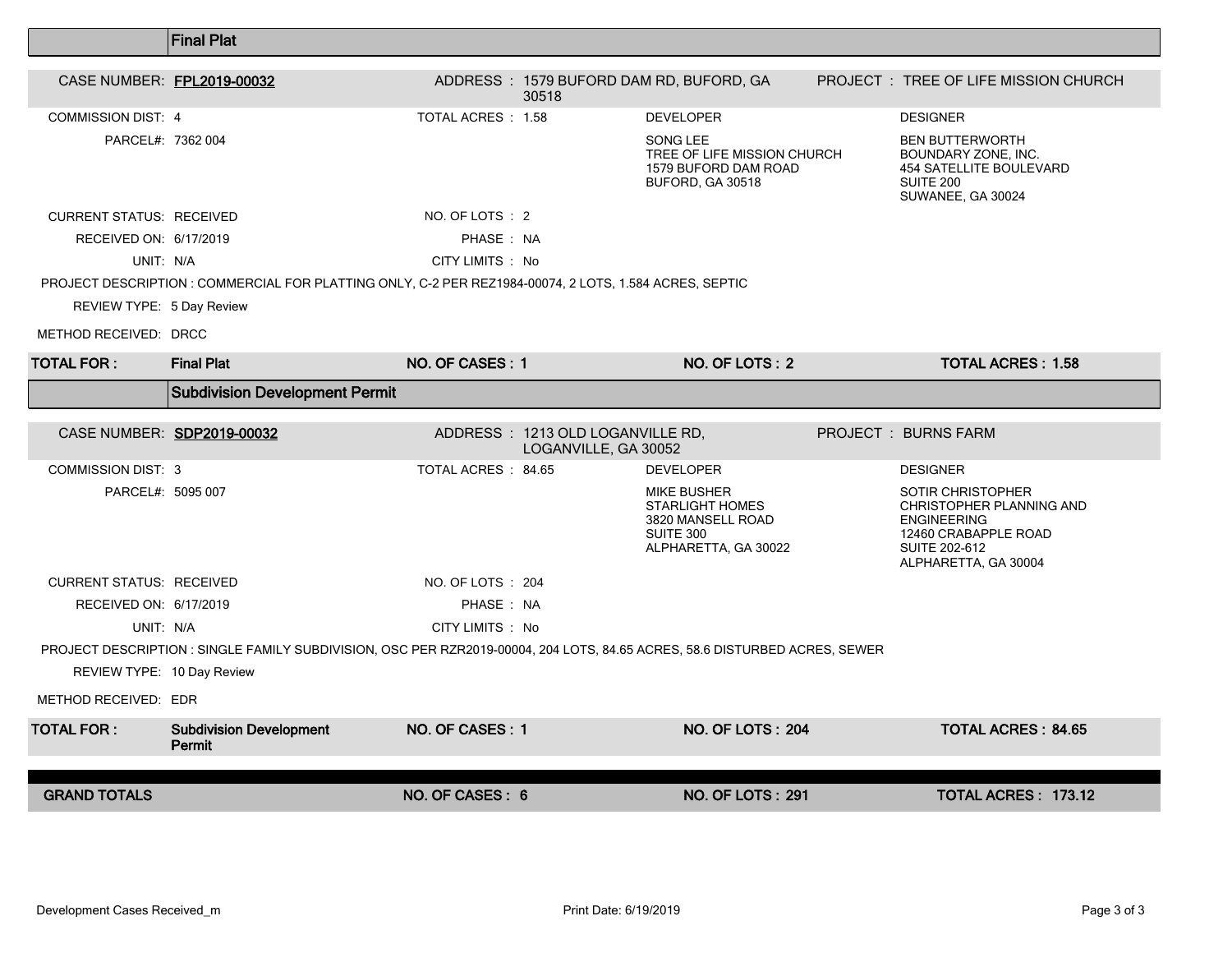|                                 | <b>Final Plat</b>                                                                                                          |                           |                                                          |                                                                                                        |                                                                                                                                                    |
|---------------------------------|----------------------------------------------------------------------------------------------------------------------------|---------------------------|----------------------------------------------------------|--------------------------------------------------------------------------------------------------------|----------------------------------------------------------------------------------------------------------------------------------------------------|
| CASE NUMBER: FPL2019-00032      |                                                                                                                            |                           |                                                          | ADDRESS: 1579 BUFORD DAM RD, BUFORD, GA                                                                | PROJECT : TREE OF LIFE MISSION CHURCH                                                                                                              |
|                                 |                                                                                                                            |                           | 30518                                                    |                                                                                                        |                                                                                                                                                    |
| <b>COMMISSION DIST: 4</b>       |                                                                                                                            | <b>TOTAL ACRES : 1.58</b> |                                                          | <b>DEVELOPER</b>                                                                                       | <b>DESIGNER</b>                                                                                                                                    |
| PARCEL#: 7362 004               |                                                                                                                            |                           |                                                          | SONG LEE<br>TREE OF LIFE MISSION CHURCH<br>1579 BUFORD DAM ROAD<br>BUFORD, GA 30518                    | <b>BEN BUTTERWORTH</b><br>BOUNDARY ZONE, INC.<br><b>454 SATELLITE BOULEVARD</b><br><b>SUITE 200</b><br>SUWANEE, GA 30024                           |
| <b>CURRENT STATUS: RECEIVED</b> |                                                                                                                            | NO. OF LOTS : 2           |                                                          |                                                                                                        |                                                                                                                                                    |
| RECEIVED ON: 6/17/2019          |                                                                                                                            | PHASE: NA                 |                                                          |                                                                                                        |                                                                                                                                                    |
| UNIT: N/A                       |                                                                                                                            | CITY LIMITS : No          |                                                          |                                                                                                        |                                                                                                                                                    |
|                                 | PROJECT DESCRIPTION : COMMERCIAL FOR PLATTING ONLY, C-2 PER REZ1984-00074, 2 LOTS, 1.584 ACRES, SEPTIC                     |                           |                                                          |                                                                                                        |                                                                                                                                                    |
| REVIEW TYPE: 5 Day Review       |                                                                                                                            |                           |                                                          |                                                                                                        |                                                                                                                                                    |
| METHOD RECEIVED: DRCC           |                                                                                                                            |                           |                                                          |                                                                                                        |                                                                                                                                                    |
| <b>TOTAL FOR :</b>              | <b>Final Plat</b>                                                                                                          | NO. OF CASES: 1           |                                                          | NO. OF LOTS: 2                                                                                         | <b>TOTAL ACRES: 1.58</b>                                                                                                                           |
|                                 | <b>Subdivision Development Permit</b>                                                                                      |                           |                                                          |                                                                                                        |                                                                                                                                                    |
| CASE NUMBER: SDP2019-00032      |                                                                                                                            |                           | ADDRESS: 1213 OLD LOGANVILLE RD,<br>LOGANVILLE, GA 30052 |                                                                                                        | <b>PROJECT: BURNS FARM</b>                                                                                                                         |
| <b>COMMISSION DIST: 3</b>       |                                                                                                                            | TOTAL ACRES: 84.65        |                                                          | <b>DEVELOPER</b>                                                                                       | <b>DESIGNER</b>                                                                                                                                    |
| PARCEL#: 5095 007               |                                                                                                                            |                           |                                                          | <b>MIKE BUSHER</b><br><b>STARLIGHT HOMES</b><br>3820 MANSELL ROAD<br>SUITE 300<br>ALPHARETTA, GA 30022 | <b>SOTIR CHRISTOPHER</b><br>CHRISTOPHER PLANNING AND<br><b>ENGINEERING</b><br>12460 CRABAPPLE ROAD<br><b>SUITE 202-612</b><br>ALPHARETTA, GA 30004 |
| <b>CURRENT STATUS: RECEIVED</b> |                                                                                                                            | NO. OF LOTS : 204         |                                                          |                                                                                                        |                                                                                                                                                    |
| RECEIVED ON: 6/17/2019          |                                                                                                                            | PHASE: NA                 |                                                          |                                                                                                        |                                                                                                                                                    |
| UNIT: N/A                       |                                                                                                                            | CITY LIMITS : No          |                                                          |                                                                                                        |                                                                                                                                                    |
|                                 | PROJECT DESCRIPTION : SINGLE FAMILY SUBDIVISION, OSC PER RZR2019-00004, 204 LOTS, 84.65 ACRES, 58.6 DISTURBED ACRES, SEWER |                           |                                                          |                                                                                                        |                                                                                                                                                    |
| REVIEW TYPE: 10 Day Review      |                                                                                                                            |                           |                                                          |                                                                                                        |                                                                                                                                                    |
| METHOD RECEIVED: EDR            |                                                                                                                            |                           |                                                          |                                                                                                        |                                                                                                                                                    |
| <b>TOTAL FOR:</b>               | <b>Subdivision Development</b><br>Permit                                                                                   | NO. OF CASES: 1           |                                                          | <b>NO. OF LOTS: 204</b>                                                                                | <b>TOTAL ACRES: 84.65</b>                                                                                                                          |
|                                 |                                                                                                                            |                           |                                                          |                                                                                                        |                                                                                                                                                    |
| <b>GRAND TOTALS</b>             |                                                                                                                            | NO. OF CASES: 6           |                                                          | <b>NO. OF LOTS: 291</b>                                                                                | TOTAL ACRES: 173.12                                                                                                                                |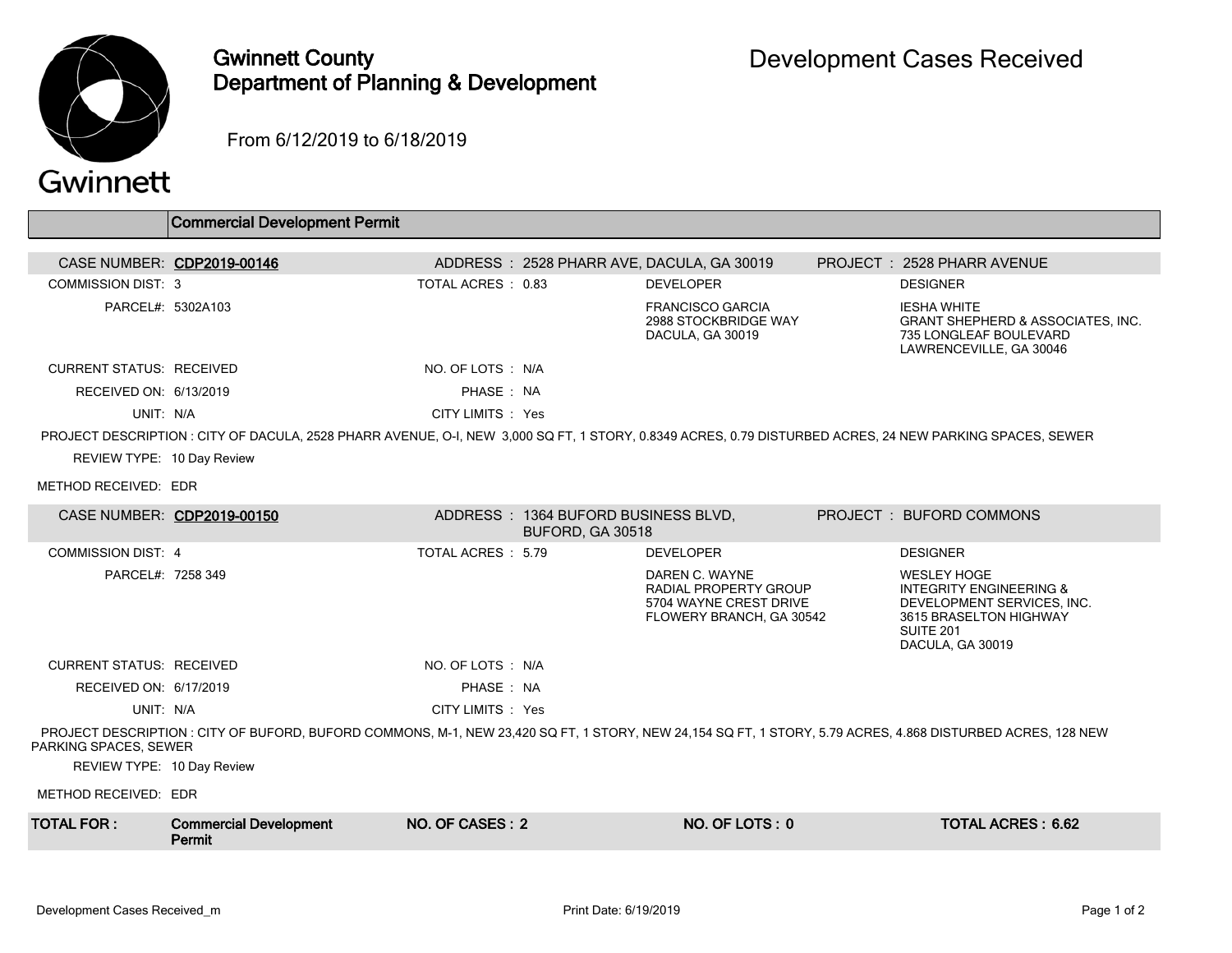

## Gwinnett County Department of Planning & Development

From 6/12/2019 to 6/18/2019

|                                                                                                                                                                                     | <b>Commercial Development Permit</b>                                                                                                                     |                    |                                                         |                                                                                               |  |                                                                                                                                                   |
|-------------------------------------------------------------------------------------------------------------------------------------------------------------------------------------|----------------------------------------------------------------------------------------------------------------------------------------------------------|--------------------|---------------------------------------------------------|-----------------------------------------------------------------------------------------------|--|---------------------------------------------------------------------------------------------------------------------------------------------------|
|                                                                                                                                                                                     | CASE NUMBER: CDP2019-00146                                                                                                                               |                    |                                                         | ADDRESS: 2528 PHARR AVE, DACULA, GA 30019                                                     |  | PROJECT: 2528 PHARR AVENUE                                                                                                                        |
| <b>COMMISSION DIST: 3</b>                                                                                                                                                           |                                                                                                                                                          | TOTAL ACRES: 0.83  |                                                         | <b>DEVELOPER</b>                                                                              |  | <b>DESIGNER</b>                                                                                                                                   |
| PARCEL#: 5302A103                                                                                                                                                                   |                                                                                                                                                          |                    |                                                         | <b>FRANCISCO GARCIA</b><br>2988 STOCKBRIDGE WAY<br>DACULA, GA 30019                           |  | <b>IESHA WHITE</b><br><b>GRANT SHEPHERD &amp; ASSOCIATES, INC.</b><br>735 LONGLEAF BOULEVARD<br>LAWRENCEVILLE, GA 30046                           |
| <b>CURRENT STATUS: RECEIVED</b>                                                                                                                                                     |                                                                                                                                                          | NO. OF LOTS : N/A  |                                                         |                                                                                               |  |                                                                                                                                                   |
| RECEIVED ON: 6/13/2019                                                                                                                                                              |                                                                                                                                                          | PHASE: NA          |                                                         |                                                                                               |  |                                                                                                                                                   |
| UNIT: N/A                                                                                                                                                                           |                                                                                                                                                          | CITY LIMITS : Yes  |                                                         |                                                                                               |  |                                                                                                                                                   |
| REVIEW TYPE: 10 Day Review<br>METHOD RECEIVED: EDR                                                                                                                                  | PROJECT DESCRIPTION : CITY OF DACULA, 2528 PHARR AVENUE, O-I, NEW 3,000 SQ FT, 1 STORY, 0.8349 ACRES, 0.79 DISTURBED ACRES, 24 NEW PARKING SPACES, SEWER |                    |                                                         |                                                                                               |  |                                                                                                                                                   |
|                                                                                                                                                                                     | CASE NUMBER: CDP2019-00150                                                                                                                               |                    | ADDRESS: 1364 BUFORD BUSINESS BLVD,<br>BUFORD, GA 30518 |                                                                                               |  | PROJECT: BUFORD COMMONS                                                                                                                           |
| <b>COMMISSION DIST: 4</b>                                                                                                                                                           |                                                                                                                                                          | TOTAL ACRES : 5.79 |                                                         | <b>DEVELOPER</b>                                                                              |  | <b>DESIGNER</b>                                                                                                                                   |
| PARCEL#: 7258 349                                                                                                                                                                   |                                                                                                                                                          |                    |                                                         | DAREN C. WAYNE<br>RADIAL PROPERTY GROUP<br>5704 WAYNE CREST DRIVE<br>FLOWERY BRANCH, GA 30542 |  | <b>WESLEY HOGE</b><br><b>INTEGRITY ENGINEERING &amp;</b><br>DEVELOPMENT SERVICES, INC.<br>3615 BRASELTON HIGHWAY<br>SUITE 201<br>DACULA, GA 30019 |
| <b>CURRENT STATUS: RECEIVED</b>                                                                                                                                                     |                                                                                                                                                          | NO. OF LOTS: N/A   |                                                         |                                                                                               |  |                                                                                                                                                   |
| RECEIVED ON: 6/17/2019                                                                                                                                                              |                                                                                                                                                          | PHASE: NA          |                                                         |                                                                                               |  |                                                                                                                                                   |
| UNIT: N/A                                                                                                                                                                           |                                                                                                                                                          | CITY LIMITS : Yes  |                                                         |                                                                                               |  |                                                                                                                                                   |
| PROJECT DESCRIPTION: CITY OF BUFORD, BUFORD COMMONS, M-1, NEW 23,420 SQ FT, 1 STORY, NEW 24,154 SQ FT, 1 STORY, 5.79 ACRES, 4.868 DISTURBED ACRES, 128 NEW<br>PARKING SPACES, SEWER |                                                                                                                                                          |                    |                                                         |                                                                                               |  |                                                                                                                                                   |
| REVIEW TYPE: 10 Day Review                                                                                                                                                          |                                                                                                                                                          |                    |                                                         |                                                                                               |  |                                                                                                                                                   |
| METHOD RECEIVED: EDR                                                                                                                                                                |                                                                                                                                                          |                    |                                                         |                                                                                               |  |                                                                                                                                                   |
| <b>TOTAL FOR:</b>                                                                                                                                                                   | <b>Commercial Development</b><br>Permit                                                                                                                  | NO. OF CASES: 2    |                                                         | NO. OF LOTS: 0                                                                                |  | <b>TOTAL ACRES: 6.62</b>                                                                                                                          |